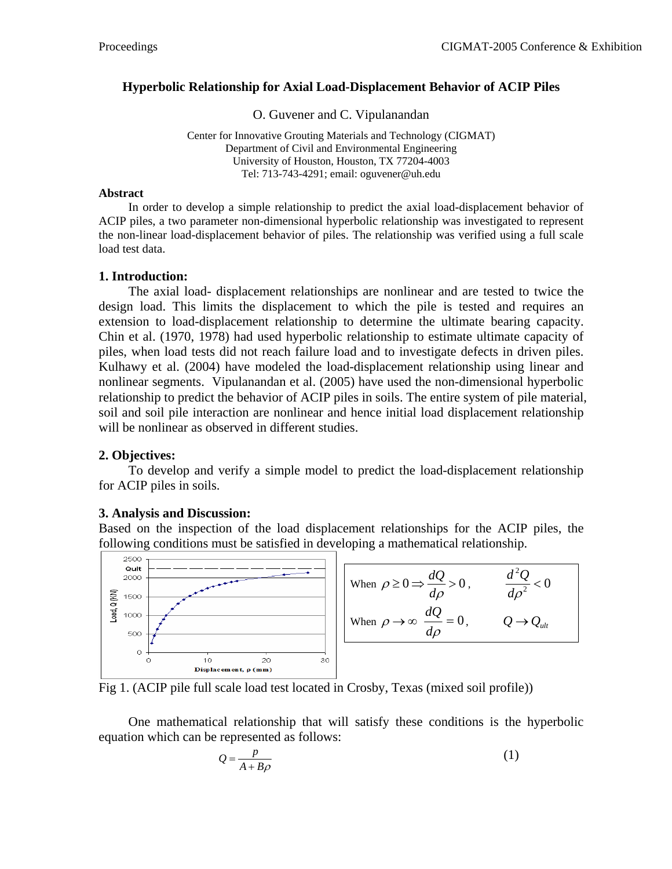#### **Hyperbolic Relationship for Axial Load-Displacement Behavior of ACIP Piles**

O. Guvener and C. Vipulanandan

Center for Innovative Grouting Materials and Technology (CIGMAT) Department of Civil and Environmental Engineering University of Houston, Houston, TX 77204-4003 Tel: 713-743-4291; email: oguvener@uh.edu

#### **Abstract**

In order to develop a simple relationship to predict the axial load-displacement behavior of ACIP piles, a two parameter non-dimensional hyperbolic relationship was investigated to represent the non-linear load-displacement behavior of piles. The relationship was verified using a full scale load test data.

#### **1. Introduction:**

The axial load- displacement relationships are nonlinear and are tested to twice the design load. This limits the displacement to which the pile is tested and requires an extension to load-displacement relationship to determine the ultimate bearing capacity. Chin et al. (1970, 1978) had used hyperbolic relationship to estimate ultimate capacity of piles, when load tests did not reach failure load and to investigate defects in driven piles. Kulhawy et al. (2004) have modeled the load-displacement relationship using linear and nonlinear segments. Vipulanandan et al. (2005) have used the non-dimensional hyperbolic relationship to predict the behavior of ACIP piles in soils. The entire system of pile material, soil and soil pile interaction are nonlinear and hence initial load displacement relationship will be nonlinear as observed in different studies.

#### **2. Objectives:**

To develop and verify a simple model to predict the load-displacement relationship for ACIP piles in soils.

# **3. Analysis and Discussion:**

Based on the inspection of the load displacement relationships for the ACIP piles, the following conditions must be satisfied in developing a mathematical relationship.



Fig 1. (ACIP pile full scale load test located in Crosby, Texas (mixed soil profile))

One mathematical relationship that will satisfy these conditions is the hyperbolic equation which can be represented as follows:

$$
Q = \frac{p}{A + B\rho} \tag{1}
$$